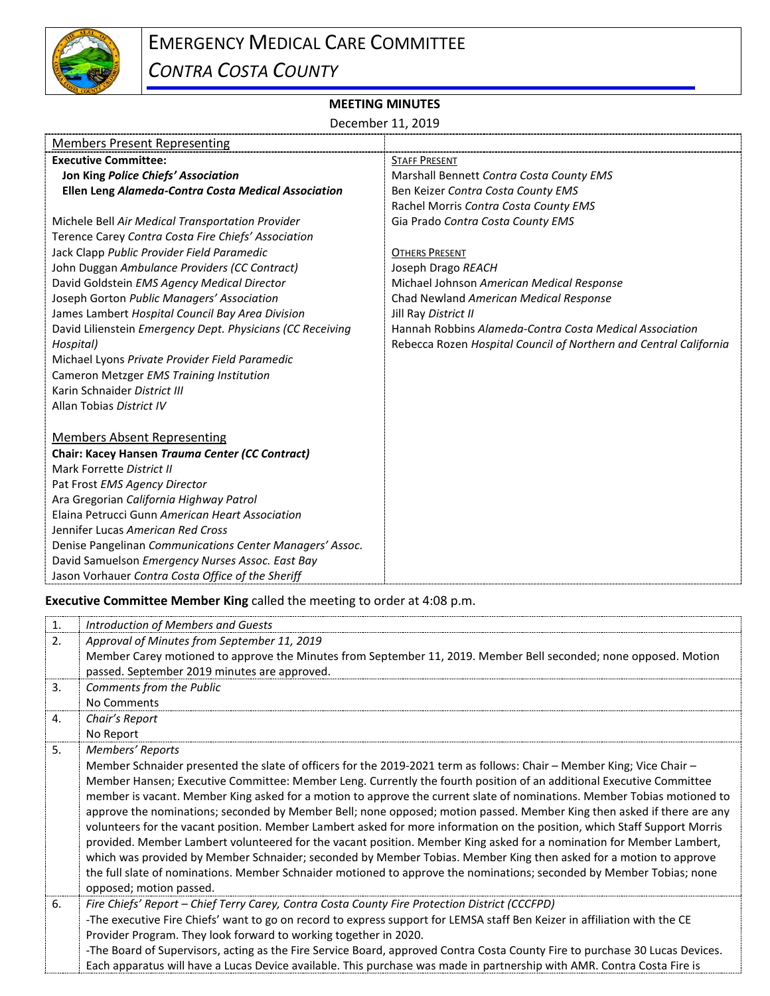

## **MEETING MINUTES**

December 11, 2019

| <b>Members Present Representing</b>                        |                                                                   |
|------------------------------------------------------------|-------------------------------------------------------------------|
| <b>Executive Committee:</b>                                | <b>STAFF PRESENT</b>                                              |
| Jon King Police Chiefs' Association                        | Marshall Bennett Contra Costa County EMS                          |
| Ellen Leng Alameda-Contra Costa Medical Association        | Ben Keizer Contra Costa County EMS                                |
|                                                            | Rachel Morris Contra Costa County EMS                             |
| Michele Bell Air Medical Transportation Provider           | Gia Prado Contra Costa County EMS                                 |
| Terence Carey Contra Costa Fire Chiefs' Association        |                                                                   |
| Jack Clapp Public Provider Field Paramedic                 | <b>OTHERS PRESENT</b>                                             |
| John Duggan Ambulance Providers (CC Contract)              | Joseph Drago REACH                                                |
| David Goldstein EMS Agency Medical Director                | Michael Johnson American Medical Response                         |
| Joseph Gorton Public Managers' Association                 | Chad Newland American Medical Response                            |
| James Lambert Hospital Council Bay Area Division           | Jill Ray District II                                              |
| David Lilienstein Emergency Dept. Physicians (CC Receiving | Hannah Robbins Alameda-Contra Costa Medical Association           |
| Hospital)                                                  | Rebecca Rozen Hospital Council of Northern and Central California |
| Michael Lyons Private Provider Field Paramedic             |                                                                   |
| Cameron Metzger EMS Training Institution                   |                                                                   |
| Karin Schnaider District III                               |                                                                   |
| Allan Tobias District IV                                   |                                                                   |
|                                                            |                                                                   |
| <b>Members Absent Representing</b>                         |                                                                   |
| Chair: Kacey Hansen Trauma Center (CC Contract)            |                                                                   |
| Mark Forrette District II                                  |                                                                   |
| Pat Frost EMS Agency Director                              |                                                                   |
| Ara Gregorian California Highway Patrol                    |                                                                   |
| Elaina Petrucci Gunn American Heart Association            |                                                                   |
| Jennifer Lucas American Red Cross                          |                                                                   |
| Denise Pangelinan Communications Center Managers' Assoc.   |                                                                   |
| David Samuelson Emergency Nurses Assoc. East Bay           |                                                                   |
| Jason Vorhauer Contra Costa Office of the Sheriff          |                                                                   |

**Executive Committee Member King** called the meeting to order at 4:08 p.m.

| 1.             | Introduction of Members and Guests                                                                                           |
|----------------|------------------------------------------------------------------------------------------------------------------------------|
| 2.             | Approval of Minutes from September 11, 2019                                                                                  |
|                | Member Carey motioned to approve the Minutes from September 11, 2019. Member Bell seconded; none opposed. Motion             |
|                | passed. September 2019 minutes are approved.                                                                                 |
| 3.             | Comments from the Public                                                                                                     |
|                | No Comments                                                                                                                  |
| 4.             | Chair's Report                                                                                                               |
|                | No Report                                                                                                                    |
| 5 <sub>1</sub> | Members' Reports                                                                                                             |
|                | Member Schnaider presented the slate of officers for the 2019-2021 term as follows: Chair – Member King; Vice Chair –        |
|                | Member Hansen; Executive Committee: Member Leng. Currently the fourth position of an additional Executive Committee          |
|                | member is vacant. Member King asked for a motion to approve the current slate of nominations. Member Tobias motioned to      |
|                | approve the nominations; seconded by Member Bell; none opposed; motion passed. Member King then asked if there are any       |
|                | volunteers for the vacant position. Member Lambert asked for more information on the position, which Staff Support Morris    |
|                | provided. Member Lambert volunteered for the vacant position. Member King asked for a nomination for Member Lambert,         |
|                | which was provided by Member Schnaider; seconded by Member Tobias. Member King then asked for a motion to approve            |
|                | the full slate of nominations. Member Schnaider motioned to approve the nominations; seconded by Member Tobias; none         |
|                | opposed; motion passed.                                                                                                      |
| 6.             | Fire Chiefs' Report - Chief Terry Carey, Contra Costa County Fire Protection District (CCCFPD)                               |
|                | -The executive Fire Chiefs' want to go on record to express support for LEMSA staff Ben Keizer in affiliation with the CE    |
|                | Provider Program. They look forward to working together in 2020.                                                             |
|                | -The Board of Supervisors, acting as the Fire Service Board, approved Contra Costa County Fire to purchase 30 Lucas Devices. |
|                | Each apparatus will have a Lucas Device available. This purchase was made in partnership with AMR. Contra Costa Fire is      |